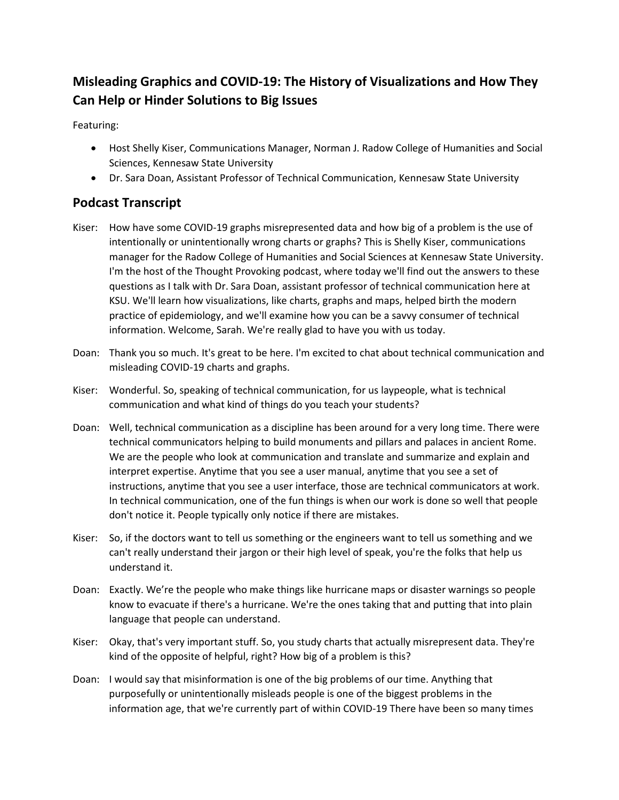## **Misleading Graphics and COVID-19: The History of Visualizations and How They Can Help or Hinder Solutions to Big Issues**

Featuring:

- Host Shelly Kiser, Communications Manager, Norman J. Radow College of Humanities and Social Sciences, Kennesaw State University
- Dr. Sara Doan, Assistant Professor of Technical Communication, Kennesaw State University

## **Podcast Transcript**

- Kiser: How have some COVID-19 graphs misrepresented data and how big of a problem is the use of intentionally or unintentionally wrong charts or graphs? This is Shelly Kiser, communications manager for the Radow College of Humanities and Social Sciences at Kennesaw State University. I'm the host of the Thought Provoking podcast, where today we'll find out the answers to these questions as I talk with Dr. Sara Doan, assistant professor of technical communication here at KSU. We'll learn how visualizations, like charts, graphs and maps, helped birth the modern practice of epidemiology, and we'll examine how you can be a savvy consumer of technical information. Welcome, Sarah. We're really glad to have you with us today.
- Doan: Thank you so much. It's great to be here. I'm excited to chat about technical communication and misleading COVID-19 charts and graphs.
- Kiser: Wonderful. So, speaking of technical communication, for us laypeople, what is technical communication and what kind of things do you teach your students?
- Doan: Well, technical communication as a discipline has been around for a very long time. There were technical communicators helping to build monuments and pillars and palaces in ancient Rome. We are the people who look at communication and translate and summarize and explain and interpret expertise. Anytime that you see a user manual, anytime that you see a set of instructions, anytime that you see a user interface, those are technical communicators at work. In technical communication, one of the fun things is when our work is done so well that people don't notice it. People typically only notice if there are mistakes.
- Kiser: So, if the doctors want to tell us something or the engineers want to tell us something and we can't really understand their jargon or their high level of speak, you're the folks that help us understand it.
- Doan: Exactly. We're the people who make things like hurricane maps or disaster warnings so people know to evacuate if there's a hurricane. We're the ones taking that and putting that into plain language that people can understand.
- Kiser: Okay, that's very important stuff. So, you study charts that actually misrepresent data. They're kind of the opposite of helpful, right? How big of a problem is this?
- Doan: I would say that misinformation is one of the big problems of our time. Anything that purposefully or unintentionally misleads people is one of the biggest problems in the information age, that we're currently part of within COVID-19 There have been so many times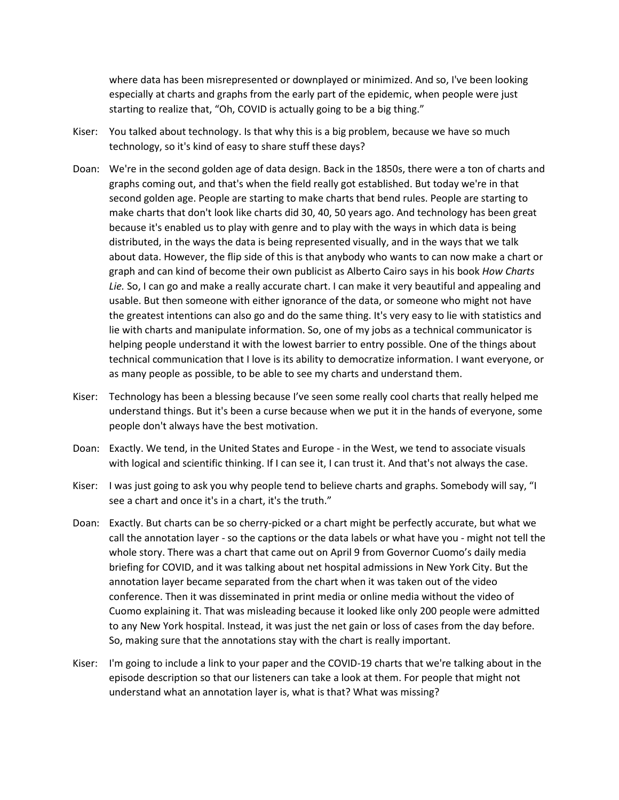where data has been misrepresented or downplayed or minimized. And so, I've been looking especially at charts and graphs from the early part of the epidemic, when people were just starting to realize that, "Oh, COVID is actually going to be a big thing."

- Kiser: You talked about technology. Is that why this is a big problem, because we have so much technology, so it's kind of easy to share stuff these days?
- Doan: We're in the second golden age of data design. Back in the 1850s, there were a ton of charts and graphs coming out, and that's when the field really got established. But today we're in that second golden age. People are starting to make charts that bend rules. People are starting to make charts that don't look like charts did 30, 40, 50 years ago. And technology has been great because it's enabled us to play with genre and to play with the ways in which data is being distributed, in the ways the data is being represented visually, and in the ways that we talk about data. However, the flip side of this is that anybody who wants to can now make a chart or graph and can kind of become their own publicist as Alberto Cairo says in his book *How Charts Lie.* So, I can go and make a really accurate chart. I can make it very beautiful and appealing and usable. But then someone with either ignorance of the data, or someone who might not have the greatest intentions can also go and do the same thing. It's very easy to lie with statistics and lie with charts and manipulate information. So, one of my jobs as a technical communicator is helping people understand it with the lowest barrier to entry possible. One of the things about technical communication that I love is its ability to democratize information. I want everyone, or as many people as possible, to be able to see my charts and understand them.
- Kiser: Technology has been a blessing because I've seen some really cool charts that really helped me understand things. But it's been a curse because when we put it in the hands of everyone, some people don't always have the best motivation.
- Doan: Exactly. We tend, in the United States and Europe in the West, we tend to associate visuals with logical and scientific thinking. If I can see it, I can trust it. And that's not always the case.
- Kiser: I was just going to ask you why people tend to believe charts and graphs. Somebody will say, "I see a chart and once it's in a chart, it's the truth."
- Doan: Exactly. But charts can be so cherry-picked or a chart might be perfectly accurate, but what we call the annotation layer - so the captions or the data labels or what have you - might not tell the whole story. There was a chart that came out on April 9 from Governor Cuomo's daily media briefing for COVID, and it was talking about net hospital admissions in New York City. But the annotation layer became separated from the chart when it was taken out of the video conference. Then it was disseminated in print media or online media without the video of Cuomo explaining it. That was misleading because it looked like only 200 people were admitted to any New York hospital. Instead, it was just the net gain or loss of cases from the day before. So, making sure that the annotations stay with the chart is really important.
- Kiser: I'm going to include a link to your paper and the COVID-19 charts that we're talking about in the episode description so that our listeners can take a look at them. For people that might not understand what an annotation layer is, what is that? What was missing?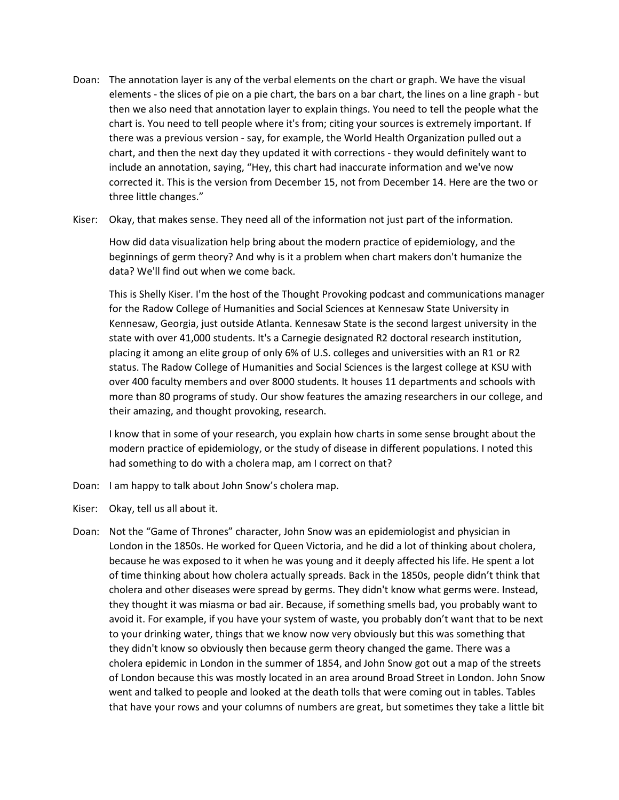- Doan: The annotation layer is any of the verbal elements on the chart or graph. We have the visual elements - the slices of pie on a pie chart, the bars on a bar chart, the lines on a line graph - but then we also need that annotation layer to explain things. You need to tell the people what the chart is. You need to tell people where it's from; citing your sources is extremely important. If there was a previous version - say, for example, the World Health Organization pulled out a chart, and then the next day they updated it with corrections - they would definitely want to include an annotation, saying, "Hey, this chart had inaccurate information and we've now corrected it. This is the version from December 15, not from December 14. Here are the two or three little changes."
- Kiser: Okay, that makes sense. They need all of the information not just part of the information.

How did data visualization help bring about the modern practice of epidemiology, and the beginnings of germ theory? And why is it a problem when chart makers don't humanize the data? We'll find out when we come back.

This is Shelly Kiser. I'm the host of the Thought Provoking podcast and communications manager for the Radow College of Humanities and Social Sciences at Kennesaw State University in Kennesaw, Georgia, just outside Atlanta. Kennesaw State is the second largest university in the state with over 41,000 students. It's a Carnegie designated R2 doctoral research institution, placing it among an elite group of only 6% of U.S. colleges and universities with an R1 or R2 status. The Radow College of Humanities and Social Sciences is the largest college at KSU with over 400 faculty members and over 8000 students. It houses 11 departments and schools with more than 80 programs of study. Our show features the amazing researchers in our college, and their amazing, and thought provoking, research.

I know that in some of your research, you explain how charts in some sense brought about the modern practice of epidemiology, or the study of disease in different populations. I noted this had something to do with a cholera map, am I correct on that?

- Doan: I am happy to talk about John Snow's cholera map.
- Kiser: Okay, tell us all about it.
- Doan: Not the "Game of Thrones" character, John Snow was an epidemiologist and physician in London in the 1850s. He worked for Queen Victoria, and he did a lot of thinking about cholera, because he was exposed to it when he was young and it deeply affected his life. He spent a lot of time thinking about how cholera actually spreads. Back in the 1850s, people didn't think that cholera and other diseases were spread by germs. They didn't know what germs were. Instead, they thought it was miasma or bad air. Because, if something smells bad, you probably want to avoid it. For example, if you have your system of waste, you probably don't want that to be next to your drinking water, things that we know now very obviously but this was something that they didn't know so obviously then because germ theory changed the game. There was a cholera epidemic in London in the summer of 1854, and John Snow got out a map of the streets of London because this was mostly located in an area around Broad Street in London. John Snow went and talked to people and looked at the death tolls that were coming out in tables. Tables that have your rows and your columns of numbers are great, but sometimes they take a little bit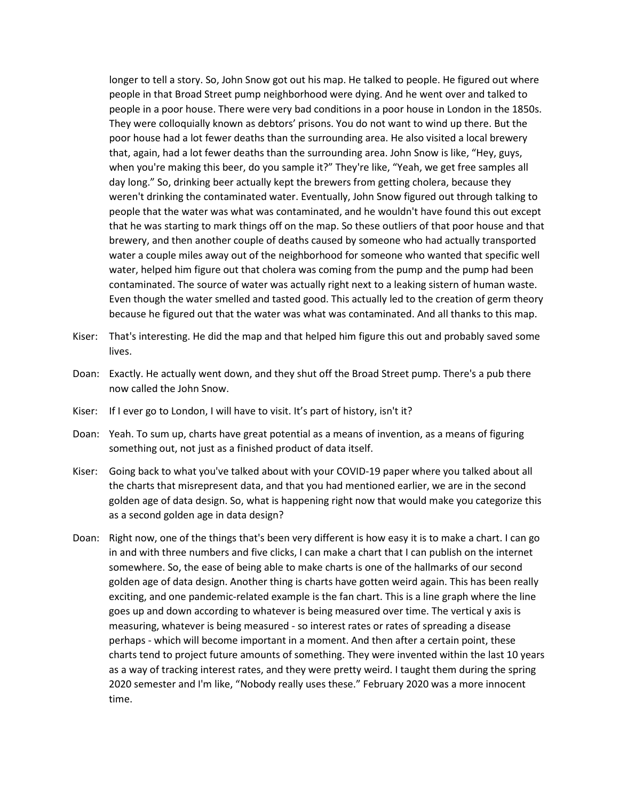longer to tell a story. So, John Snow got out his map. He talked to people. He figured out where people in that Broad Street pump neighborhood were dying. And he went over and talked to people in a poor house. There were very bad conditions in a poor house in London in the 1850s. They were colloquially known as debtors' prisons. You do not want to wind up there. But the poor house had a lot fewer deaths than the surrounding area. He also visited a local brewery that, again, had a lot fewer deaths than the surrounding area. John Snow is like, "Hey, guys, when you're making this beer, do you sample it?" They're like, "Yeah, we get free samples all day long." So, drinking beer actually kept the brewers from getting cholera, because they weren't drinking the contaminated water. Eventually, John Snow figured out through talking to people that the water was what was contaminated, and he wouldn't have found this out except that he was starting to mark things off on the map. So these outliers of that poor house and that brewery, and then another couple of deaths caused by someone who had actually transported water a couple miles away out of the neighborhood for someone who wanted that specific well water, helped him figure out that cholera was coming from the pump and the pump had been contaminated. The source of water was actually right next to a leaking sistern of human waste. Even though the water smelled and tasted good. This actually led to the creation of germ theory because he figured out that the water was what was contaminated. And all thanks to this map.

- Kiser: That's interesting. He did the map and that helped him figure this out and probably saved some lives.
- Doan: Exactly. He actually went down, and they shut off the Broad Street pump. There's a pub there now called the John Snow.
- Kiser: If I ever go to London, I will have to visit. It's part of history, isn't it?
- Doan: Yeah. To sum up, charts have great potential as a means of invention, as a means of figuring something out, not just as a finished product of data itself.
- Kiser: Going back to what you've talked about with your COVID-19 paper where you talked about all the charts that misrepresent data, and that you had mentioned earlier, we are in the second golden age of data design. So, what is happening right now that would make you categorize this as a second golden age in data design?
- Doan: Right now, one of the things that's been very different is how easy it is to make a chart. I can go in and with three numbers and five clicks, I can make a chart that I can publish on the internet somewhere. So, the ease of being able to make charts is one of the hallmarks of our second golden age of data design. Another thing is charts have gotten weird again. This has been really exciting, and one pandemic-related example is the fan chart. This is a line graph where the line goes up and down according to whatever is being measured over time. The vertical y axis is measuring, whatever is being measured - so interest rates or rates of spreading a disease perhaps - which will become important in a moment. And then after a certain point, these charts tend to project future amounts of something. They were invented within the last 10 years as a way of tracking interest rates, and they were pretty weird. I taught them during the spring 2020 semester and I'm like, "Nobody really uses these." February 2020 was a more innocent time.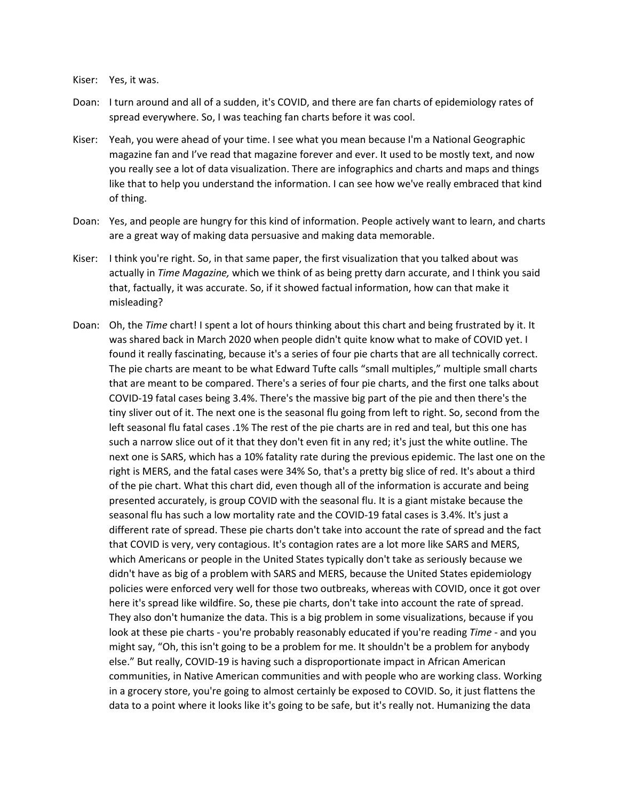## Kiser: Yes, it was.

- Doan: I turn around and all of a sudden, it's COVID, and there are fan charts of epidemiology rates of spread everywhere. So, I was teaching fan charts before it was cool.
- Kiser: Yeah, you were ahead of your time. I see what you mean because I'm a National Geographic magazine fan and I've read that magazine forever and ever. It used to be mostly text, and now you really see a lot of data visualization. There are infographics and charts and maps and things like that to help you understand the information. I can see how we've really embraced that kind of thing.
- Doan: Yes, and people are hungry for this kind of information. People actively want to learn, and charts are a great way of making data persuasive and making data memorable.
- Kiser: I think you're right. So, in that same paper, the first visualization that you talked about was actually in *Time Magazine,* which we think of as being pretty darn accurate, and I think you said that, factually, it was accurate. So, if it showed factual information, how can that make it misleading?
- Doan: Oh, the *Time* chart! I spent a lot of hours thinking about this chart and being frustrated by it. It was shared back in March 2020 when people didn't quite know what to make of COVID yet. I found it really fascinating, because it's a series of four pie charts that are all technically correct. The pie charts are meant to be what Edward Tufte calls "small multiples," multiple small charts that are meant to be compared. There's a series of four pie charts, and the first one talks about COVID-19 fatal cases being 3.4%. There's the massive big part of the pie and then there's the tiny sliver out of it. The next one is the seasonal flu going from left to right. So, second from the left seasonal flu fatal cases .1% The rest of the pie charts are in red and teal, but this one has such a narrow slice out of it that they don't even fit in any red; it's just the white outline. The next one is SARS, which has a 10% fatality rate during the previous epidemic. The last one on the right is MERS, and the fatal cases were 34% So, that's a pretty big slice of red. It's about a third of the pie chart. What this chart did, even though all of the information is accurate and being presented accurately, is group COVID with the seasonal flu. It is a giant mistake because the seasonal flu has such a low mortality rate and the COVID-19 fatal cases is 3.4%. It's just a different rate of spread. These pie charts don't take into account the rate of spread and the fact that COVID is very, very contagious. It's contagion rates are a lot more like SARS and MERS, which Americans or people in the United States typically don't take as seriously because we didn't have as big of a problem with SARS and MERS, because the United States epidemiology policies were enforced very well for those two outbreaks, whereas with COVID, once it got over here it's spread like wildfire. So, these pie charts, don't take into account the rate of spread. They also don't humanize the data. This is a big problem in some visualizations, because if you look at these pie charts - you're probably reasonably educated if you're reading *Time* - and you might say, "Oh, this isn't going to be a problem for me. It shouldn't be a problem for anybody else." But really, COVID-19 is having such a disproportionate impact in African American communities, in Native American communities and with people who are working class. Working in a grocery store, you're going to almost certainly be exposed to COVID. So, it just flattens the data to a point where it looks like it's going to be safe, but it's really not. Humanizing the data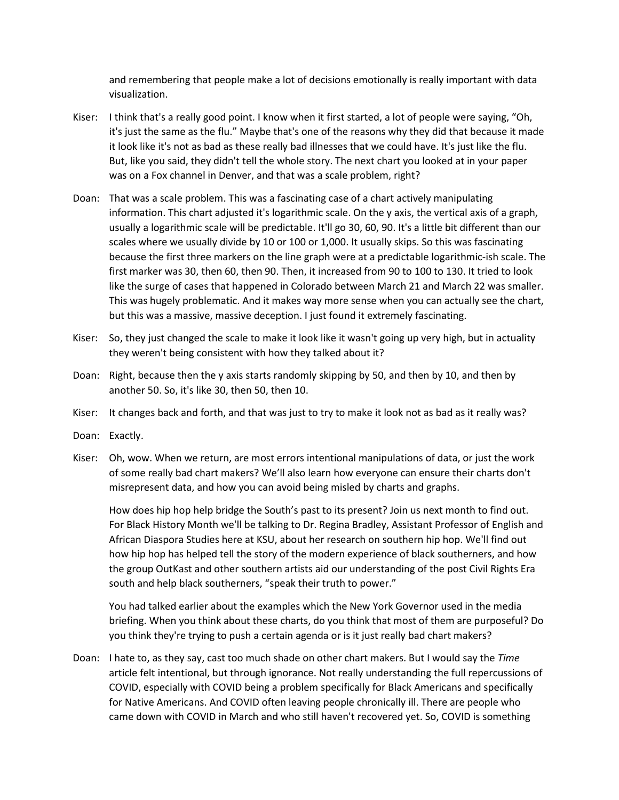and remembering that people make a lot of decisions emotionally is really important with data visualization.

- Kiser: I think that's a really good point. I know when it first started, a lot of people were saying, "Oh, it's just the same as the flu." Maybe that's one of the reasons why they did that because it made it look like it's not as bad as these really bad illnesses that we could have. It's just like the flu. But, like you said, they didn't tell the whole story. The next chart you looked at in your paper was on a Fox channel in Denver, and that was a scale problem, right?
- Doan: That was a scale problem. This was a fascinating case of a chart actively manipulating information. This chart adjusted it's logarithmic scale. On the y axis, the vertical axis of a graph, usually a logarithmic scale will be predictable. It'll go 30, 60, 90. It's a little bit different than our scales where we usually divide by 10 or 100 or 1,000. It usually skips. So this was fascinating because the first three markers on the line graph were at a predictable logarithmic-ish scale. The first marker was 30, then 60, then 90. Then, it increased from 90 to 100 to 130. It tried to look like the surge of cases that happened in Colorado between March 21 and March 22 was smaller. This was hugely problematic. And it makes way more sense when you can actually see the chart, but this was a massive, massive deception. I just found it extremely fascinating.
- Kiser: So, they just changed the scale to make it look like it wasn't going up very high, but in actuality they weren't being consistent with how they talked about it?
- Doan: Right, because then the y axis starts randomly skipping by 50, and then by 10, and then by another 50. So, it's like 30, then 50, then 10.
- Kiser: It changes back and forth, and that was just to try to make it look not as bad as it really was?
- Doan: Exactly.
- Kiser: Oh, wow. When we return, are most errors intentional manipulations of data, or just the work of some really bad chart makers? We'll also learn how everyone can ensure their charts don't misrepresent data, and how you can avoid being misled by charts and graphs.

How does hip hop help bridge the South's past to its present? Join us next month to find out. For Black History Month we'll be talking to Dr. Regina Bradley, Assistant Professor of English and African Diaspora Studies here at KSU, about her research on southern hip hop. We'll find out how hip hop has helped tell the story of the modern experience of black southerners, and how the group OutKast and other southern artists aid our understanding of the post Civil Rights Era south and help black southerners, "speak their truth to power."

You had talked earlier about the examples which the New York Governor used in the media briefing. When you think about these charts, do you think that most of them are purposeful? Do you think they're trying to push a certain agenda or is it just really bad chart makers?

Doan: I hate to, as they say, cast too much shade on other chart makers. But I would say the *Time* article felt intentional, but through ignorance. Not really understanding the full repercussions of COVID, especially with COVID being a problem specifically for Black Americans and specifically for Native Americans. And COVID often leaving people chronically ill. There are people who came down with COVID in March and who still haven't recovered yet. So, COVID is something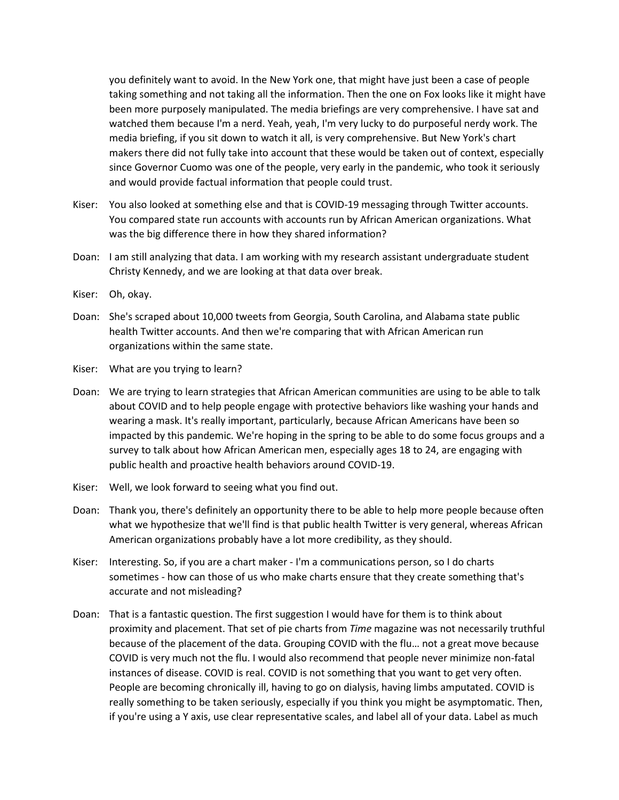you definitely want to avoid. In the New York one, that might have just been a case of people taking something and not taking all the information. Then the one on Fox looks like it might have been more purposely manipulated. The media briefings are very comprehensive. I have sat and watched them because I'm a nerd. Yeah, yeah, I'm very lucky to do purposeful nerdy work. The media briefing, if you sit down to watch it all, is very comprehensive. But New York's chart makers there did not fully take into account that these would be taken out of context, especially since Governor Cuomo was one of the people, very early in the pandemic, who took it seriously and would provide factual information that people could trust.

- Kiser: You also looked at something else and that is COVID-19 messaging through Twitter accounts. You compared state run accounts with accounts run by African American organizations. What was the big difference there in how they shared information?
- Doan: I am still analyzing that data. I am working with my research assistant undergraduate student Christy Kennedy, and we are looking at that data over break.
- Kiser: Oh, okay.
- Doan: She's scraped about 10,000 tweets from Georgia, South Carolina, and Alabama state public health Twitter accounts. And then we're comparing that with African American run organizations within the same state.
- Kiser: What are you trying to learn?
- Doan: We are trying to learn strategies that African American communities are using to be able to talk about COVID and to help people engage with protective behaviors like washing your hands and wearing a mask. It's really important, particularly, because African Americans have been so impacted by this pandemic. We're hoping in the spring to be able to do some focus groups and a survey to talk about how African American men, especially ages 18 to 24, are engaging with public health and proactive health behaviors around COVID-19.
- Kiser: Well, we look forward to seeing what you find out.
- Doan: Thank you, there's definitely an opportunity there to be able to help more people because often what we hypothesize that we'll find is that public health Twitter is very general, whereas African American organizations probably have a lot more credibility, as they should.
- Kiser: Interesting. So, if you are a chart maker I'm a communications person, so I do charts sometimes - how can those of us who make charts ensure that they create something that's accurate and not misleading?
- Doan: That is a fantastic question. The first suggestion I would have for them is to think about proximity and placement. That set of pie charts from *Time* magazine was not necessarily truthful because of the placement of the data. Grouping COVID with the flu… not a great move because COVID is very much not the flu. I would also recommend that people never minimize non-fatal instances of disease. COVID is real. COVID is not something that you want to get very often. People are becoming chronically ill, having to go on dialysis, having limbs amputated. COVID is really something to be taken seriously, especially if you think you might be asymptomatic. Then, if you're using a Y axis, use clear representative scales, and label all of your data. Label as much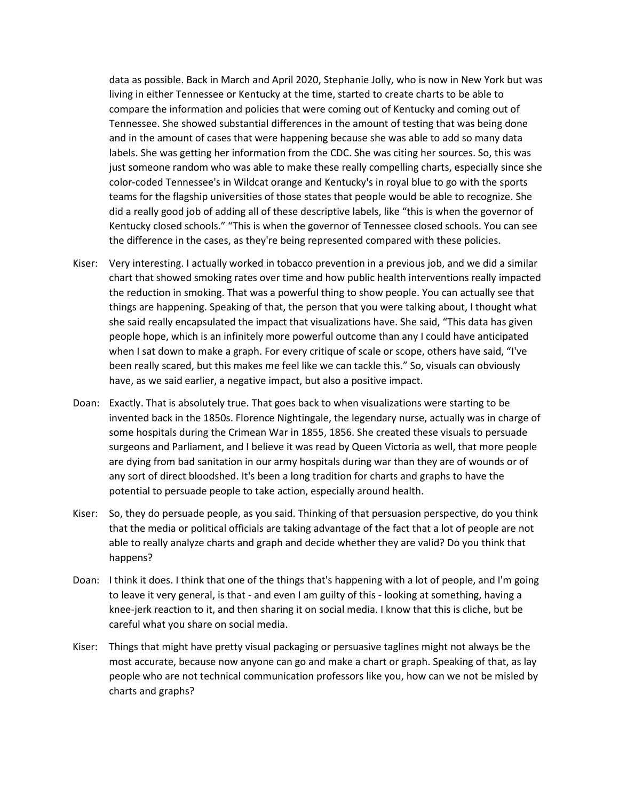data as possible. Back in March and April 2020, Stephanie Jolly, who is now in New York but was living in either Tennessee or Kentucky at the time, started to create charts to be able to compare the information and policies that were coming out of Kentucky and coming out of Tennessee. She showed substantial differences in the amount of testing that was being done and in the amount of cases that were happening because she was able to add so many data labels. She was getting her information from the CDC. She was citing her sources. So, this was just someone random who was able to make these really compelling charts, especially since she color-coded Tennessee's in Wildcat orange and Kentucky's in royal blue to go with the sports teams for the flagship universities of those states that people would be able to recognize. She did a really good job of adding all of these descriptive labels, like "this is when the governor of Kentucky closed schools." "This is when the governor of Tennessee closed schools. You can see the difference in the cases, as they're being represented compared with these policies.

- Kiser: Very interesting. I actually worked in tobacco prevention in a previous job, and we did a similar chart that showed smoking rates over time and how public health interventions really impacted the reduction in smoking. That was a powerful thing to show people. You can actually see that things are happening. Speaking of that, the person that you were talking about, I thought what she said really encapsulated the impact that visualizations have. She said, "This data has given people hope, which is an infinitely more powerful outcome than any I could have anticipated when I sat down to make a graph. For every critique of scale or scope, others have said, "I've been really scared, but this makes me feel like we can tackle this." So, visuals can obviously have, as we said earlier, a negative impact, but also a positive impact.
- Doan: Exactly. That is absolutely true. That goes back to when visualizations were starting to be invented back in the 1850s. Florence Nightingale, the legendary nurse, actually was in charge of some hospitals during the Crimean War in 1855, 1856. She created these visuals to persuade surgeons and Parliament, and I believe it was read by Queen Victoria as well, that more people are dying from bad sanitation in our army hospitals during war than they are of wounds or of any sort of direct bloodshed. It's been a long tradition for charts and graphs to have the potential to persuade people to take action, especially around health.
- Kiser: So, they do persuade people, as you said. Thinking of that persuasion perspective, do you think that the media or political officials are taking advantage of the fact that a lot of people are not able to really analyze charts and graph and decide whether they are valid? Do you think that happens?
- Doan: I think it does. I think that one of the things that's happening with a lot of people, and I'm going to leave it very general, is that - and even I am guilty of this - looking at something, having a knee-jerk reaction to it, and then sharing it on social media. I know that this is cliche, but be careful what you share on social media.
- Kiser: Things that might have pretty visual packaging or persuasive taglines might not always be the most accurate, because now anyone can go and make a chart or graph. Speaking of that, as lay people who are not technical communication professors like you, how can we not be misled by charts and graphs?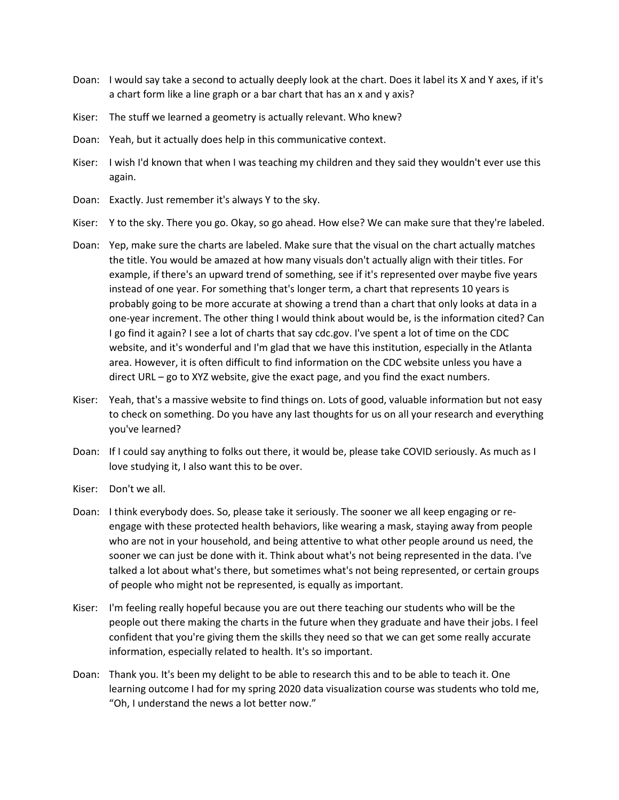- Doan: I would say take a second to actually deeply look at the chart. Does it label its X and Y axes, if it's a chart form like a line graph or a bar chart that has an x and y axis?
- Kiser: The stuff we learned a geometry is actually relevant. Who knew?
- Doan: Yeah, but it actually does help in this communicative context.
- Kiser: I wish I'd known that when I was teaching my children and they said they wouldn't ever use this again.
- Doan: Exactly. Just remember it's always Y to the sky.
- Kiser: Y to the sky. There you go. Okay, so go ahead. How else? We can make sure that they're labeled.
- Doan: Yep, make sure the charts are labeled. Make sure that the visual on the chart actually matches the title. You would be amazed at how many visuals don't actually align with their titles. For example, if there's an upward trend of something, see if it's represented over maybe five years instead of one year. For something that's longer term, a chart that represents 10 years is probably going to be more accurate at showing a trend than a chart that only looks at data in a one-year increment. The other thing I would think about would be, is the information cited? Can I go find it again? I see a lot of charts that say cdc.gov. I've spent a lot of time on the CDC website, and it's wonderful and I'm glad that we have this institution, especially in the Atlanta area. However, it is often difficult to find information on the CDC website unless you have a direct URL – go to XYZ website, give the exact page, and you find the exact numbers.
- Kiser: Yeah, that's a massive website to find things on. Lots of good, valuable information but not easy to check on something. Do you have any last thoughts for us on all your research and everything you've learned?
- Doan: If I could say anything to folks out there, it would be, please take COVID seriously. As much as I love studying it, I also want this to be over.
- Kiser: Don't we all.
- Doan: I think everybody does. So, please take it seriously. The sooner we all keep engaging or reengage with these protected health behaviors, like wearing a mask, staying away from people who are not in your household, and being attentive to what other people around us need, the sooner we can just be done with it. Think about what's not being represented in the data. I've talked a lot about what's there, but sometimes what's not being represented, or certain groups of people who might not be represented, is equally as important.
- Kiser: I'm feeling really hopeful because you are out there teaching our students who will be the people out there making the charts in the future when they graduate and have their jobs. I feel confident that you're giving them the skills they need so that we can get some really accurate information, especially related to health. It's so important.
- Doan: Thank you. It's been my delight to be able to research this and to be able to teach it. One learning outcome I had for my spring 2020 data visualization course was students who told me, "Oh, I understand the news a lot better now."